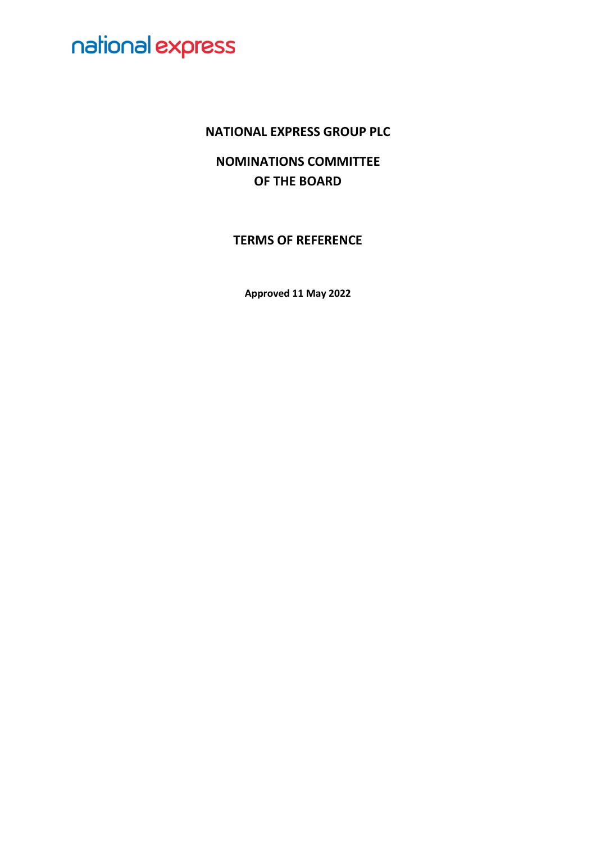### **NATIONAL EXPRESS GROUP PLC**

**NOMINATIONS COMMITTEE OF THE BOARD**

**TERMS OF REFERENCE**

**Approved 11 May 2022**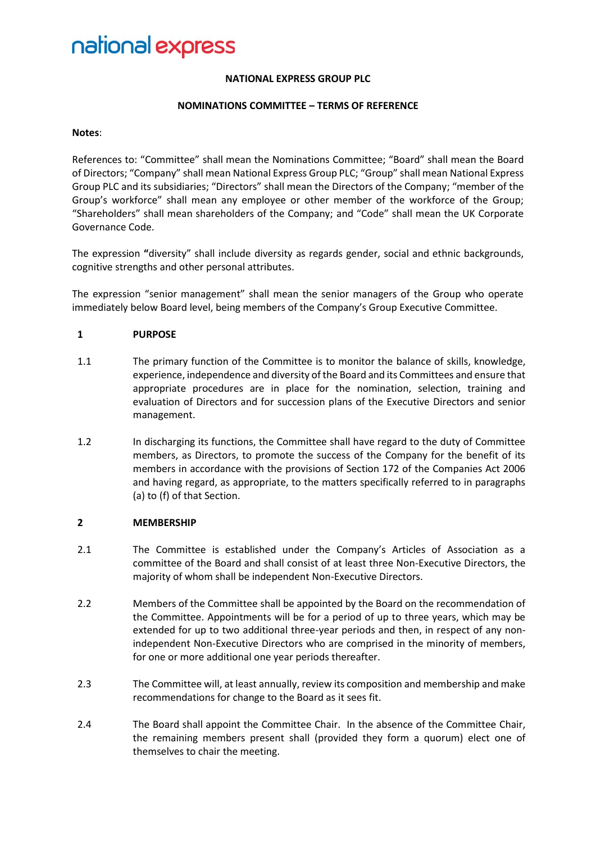#### **NATIONAL EXPRESS GROUP PLC**

#### **NOMINATIONS COMMITTEE – TERMS OF REFERENCE**

#### **Notes**:

References to: "Committee" shall mean the Nominations Committee; "Board" shall mean the Board of Directors; "Company" shall mean National Express Group PLC; "Group" shall mean National Express Group PLC and its subsidiaries; "Directors" shall mean the Directors of the Company; "member of the Group's workforce" shall mean any employee or other member of the workforce of the Group; "Shareholders" shall mean shareholders of the Company; and "Code" shall mean the UK Corporate Governance Code.

The expression **"**diversity" shall include diversity as regards gender, social and ethnic backgrounds, cognitive strengths and other personal attributes.

The expression "senior management" shall mean the senior managers of the Group who operate immediately below Board level, being members of the Company's Group Executive Committee.

#### **1 PURPOSE**

- 1.1 The primary function of the Committee is to monitor the balance of skills, knowledge, experience, independence and diversity of the Board and its Committees and ensure that appropriate procedures are in place for the nomination, selection, training and evaluation of Directors and for succession plans of the Executive Directors and senior management.
- 1.2 In discharging its functions, the Committee shall have regard to the duty of Committee members, as Directors, to promote the success of the Company for the benefit of its members in accordance with the provisions of Section 172 of the Companies Act 2006 and having regard, as appropriate, to the matters specifically referred to in paragraphs (a) to (f) of that Section.

#### **2 MEMBERSHIP**

- 2.1 The Committee is established under the Company's Articles of Association as a committee of the Board and shall consist of at least three Non-Executive Directors, the majority of whom shall be independent Non-Executive Directors.
- 2.2 Members of the Committee shall be appointed by the Board on the recommendation of the Committee. Appointments will be for a period of up to three years, which may be extended for up to two additional three-year periods and then, in respect of any nonindependent Non-Executive Directors who are comprised in the minority of members, for one or more additional one year periods thereafter.
- 2.3 The Committee will, at least annually, review its composition and membership and make recommendations for change to the Board as it sees fit.
- 2.4 The Board shall appoint the Committee Chair. In the absence of the Committee Chair, the remaining members present shall (provided they form a quorum) elect one of themselves to chair the meeting.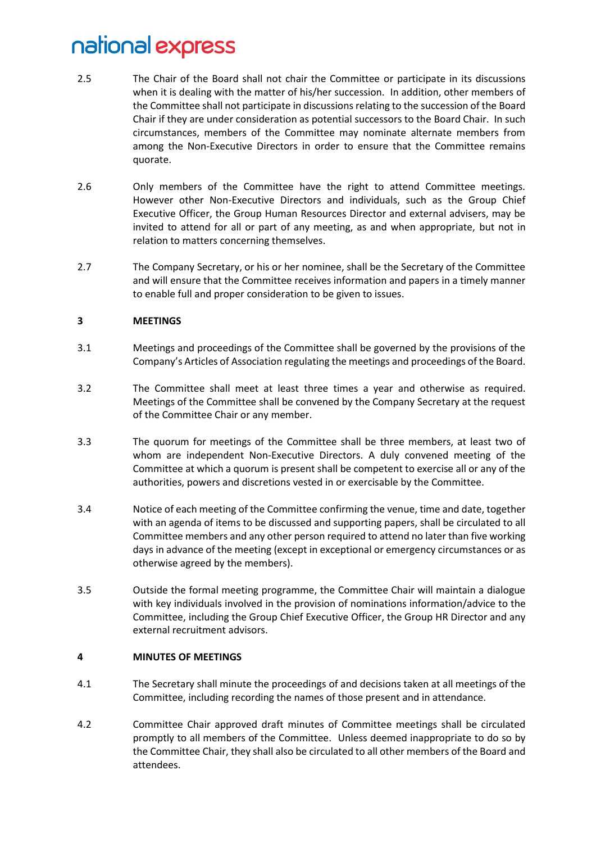- 2.5 The Chair of the Board shall not chair the Committee or participate in its discussions when it is dealing with the matter of his/her succession. In addition, other members of the Committee shall not participate in discussions relating to the succession of the Board Chair if they are under consideration as potential successors to the Board Chair. In such circumstances, members of the Committee may nominate alternate members from among the Non-Executive Directors in order to ensure that the Committee remains quorate.
- 2.6 Only members of the Committee have the right to attend Committee meetings. However other Non-Executive Directors and individuals, such as the Group Chief Executive Officer, the Group Human Resources Director and external advisers, may be invited to attend for all or part of any meeting, as and when appropriate, but not in relation to matters concerning themselves.
- 2.7 The Company Secretary, or his or her nominee, shall be the Secretary of the Committee and will ensure that the Committee receives information and papers in a timely manner to enable full and proper consideration to be given to issues.

### **3 MEETINGS**

- 3.1 Meetings and proceedings of the Committee shall be governed by the provisions of the Company's Articles of Association regulating the meetings and proceedings of the Board.
- 3.2 The Committee shall meet at least three times a year and otherwise as required. Meetings of the Committee shall be convened by the Company Secretary at the request of the Committee Chair or any member.
- 3.3 The quorum for meetings of the Committee shall be three members, at least two of whom are independent Non-Executive Directors. A duly convened meeting of the Committee at which a quorum is present shall be competent to exercise all or any of the authorities, powers and discretions vested in or exercisable by the Committee.
- 3.4 Notice of each meeting of the Committee confirming the venue, time and date, together with an agenda of items to be discussed and supporting papers, shall be circulated to all Committee members and any other person required to attend no later than five working days in advance of the meeting (except in exceptional or emergency circumstances or as otherwise agreed by the members).
- 3.5 Outside the formal meeting programme, the Committee Chair will maintain a dialogue with key individuals involved in the provision of nominations information/advice to the Committee, including the Group Chief Executive Officer, the Group HR Director and any external recruitment advisors.

#### **4 MINUTES OF MEETINGS**

- 4.1 The Secretary shall minute the proceedings of and decisions taken at all meetings of the Committee, including recording the names of those present and in attendance.
- 4.2 Committee Chair approved draft minutes of Committee meetings shall be circulated promptly to all members of the Committee. Unless deemed inappropriate to do so by the Committee Chair, they shall also be circulated to all other members of the Board and attendees.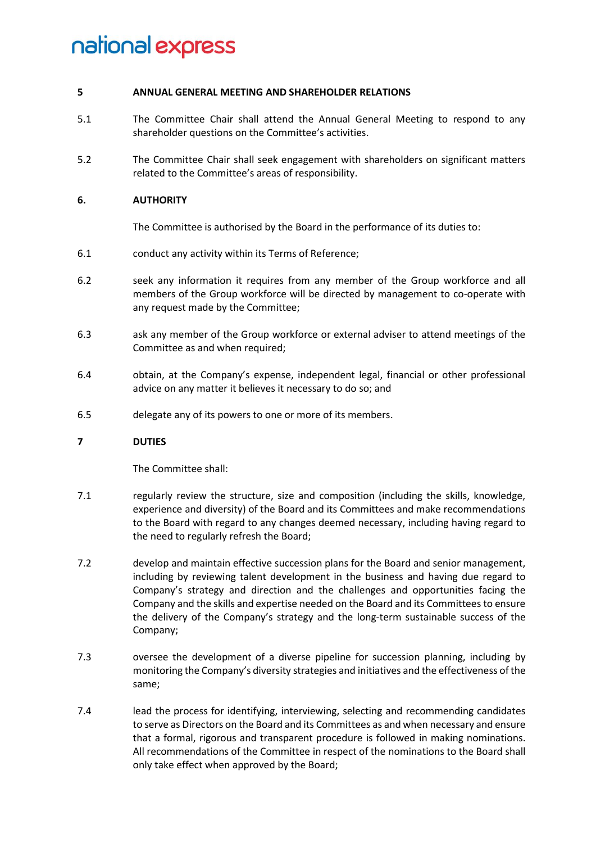#### **5 ANNUAL GENERAL MEETING AND SHAREHOLDER RELATIONS**

- 5.1 The Committee Chair shall attend the Annual General Meeting to respond to any shareholder questions on the Committee's activities.
- 5.2 The Committee Chair shall seek engagement with shareholders on significant matters related to the Committee's areas of responsibility.

#### **6. AUTHORITY**

The Committee is authorised by the Board in the performance of its duties to:

- 6.1 conduct any activity within its Terms of Reference;
- 6.2 seek any information it requires from any member of the Group workforce and all members of the Group workforce will be directed by management to co-operate with any request made by the Committee;
- 6.3 ask any member of the Group workforce or external adviser to attend meetings of the Committee as and when required:
- 6.4 obtain, at the Company's expense, independent legal, financial or other professional advice on any matter it believes it necessary to do so; and
- 6.5 delegate any of its powers to one or more of its members.

#### **7 DUTIES**

The Committee shall:

- 7.1 regularly review the structure, size and composition (including the skills, knowledge, experience and diversity) of the Board and its Committees and make recommendations to the Board with regard to any changes deemed necessary, including having regard to the need to regularly refresh the Board;
- 7.2 develop and maintain effective succession plans for the Board and senior management, including by reviewing talent development in the business and having due regard to Company's strategy and direction and the challenges and opportunities facing the Company and the skills and expertise needed on the Board and its Committees to ensure the delivery of the Company's strategy and the long-term sustainable success of the Company;
- 7.3 oversee the development of a diverse pipeline for succession planning, including by monitoring the Company's diversity strategies and initiatives and the effectiveness of the same;
- 7.4 lead the process for identifying, interviewing, selecting and recommending candidates to serve as Directors on the Board and its Committees as and when necessary and ensure that a formal, rigorous and transparent procedure is followed in making nominations. All recommendations of the Committee in respect of the nominations to the Board shall only take effect when approved by the Board;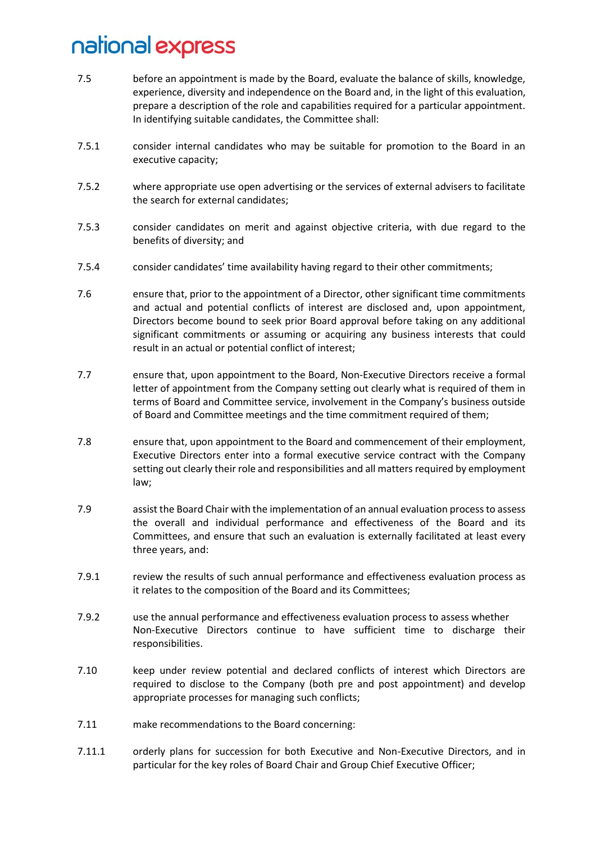- 7.5 before an appointment is made by the Board, evaluate the balance of skills, knowledge, experience, diversity and independence on the Board and, in the light of this evaluation, prepare a description of the role and capabilities required for a particular appointment. In identifying suitable candidates, the Committee shall:
- 7.5.1 consider internal candidates who may be suitable for promotion to the Board in an executive capacity;
- 7.5.2 where appropriate use open advertising or the services of external advisers to facilitate the search for external candidates;
- 7.5.3 consider candidates on merit and against objective criteria, with due regard to the benefits of diversity; and
- 7.5.4 consider candidates' time availability having regard to their other commitments;
- 7.6 ensure that, prior to the appointment of a Director, other significant time commitments and actual and potential conflicts of interest are disclosed and, upon appointment, Directors become bound to seek prior Board approval before taking on any additional significant commitments or assuming or acquiring any business interests that could result in an actual or potential conflict of interest;
- 7.7 ensure that, upon appointment to the Board, Non-Executive Directors receive a formal letter of appointment from the Company setting out clearly what is required of them in terms of Board and Committee service, involvement in the Company's business outside of Board and Committee meetings and the time commitment required of them;
- 7.8 ensure that, upon appointment to the Board and commencement of their employment, Executive Directors enter into a formal executive service contract with the Company setting out clearly their role and responsibilities and all matters required by employment law;
- 7.9 assist the Board Chair with the implementation of an annual evaluation process to assess the overall and individual performance and effectiveness of the Board and its Committees, and ensure that such an evaluation is externally facilitated at least every three years, and:
- 7.9.1 review the results of such annual performance and effectiveness evaluation process as it relates to the composition of the Board and its Committees;
- 7.9.2 use the annual performance and effectiveness evaluation process to assess whether Non-Executive Directors continue to have sufficient time to discharge their responsibilities.
- 7.10 keep under review potential and declared conflicts of interest which Directors are required to disclose to the Company (both pre and post appointment) and develop appropriate processes for managing such conflicts;
- 7.11 make recommendations to the Board concerning:
- 7.11.1 orderly plans for succession for both Executive and Non-Executive Directors, and in particular for the key roles of Board Chair and Group Chief Executive Officer;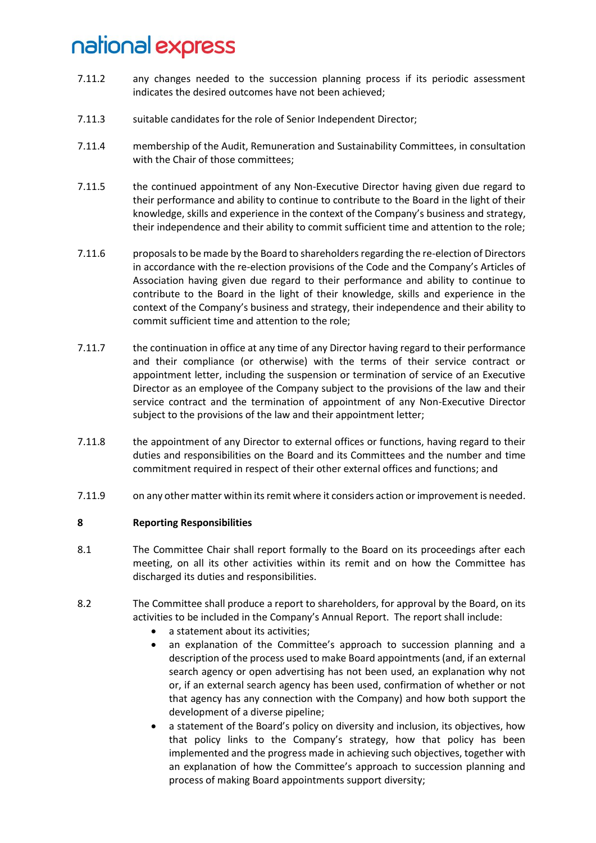- 7.11.2 any changes needed to the succession planning process if its periodic assessment indicates the desired outcomes have not been achieved;
- 7.11.3 suitable candidates for the role of Senior Independent Director;
- 7.11.4 membership of the Audit, Remuneration and Sustainability Committees, in consultation with the Chair of those committees;
- 7.11.5 the continued appointment of any Non-Executive Director having given due regard to their performance and ability to continue to contribute to the Board in the light of their knowledge, skills and experience in the context of the Company's business and strategy, their independence and their ability to commit sufficient time and attention to the role;
- 7.11.6 proposals to be made by the Board to shareholders regarding the re-election of Directors in accordance with the re-election provisions of the Code and the Company's Articles of Association having given due regard to their performance and ability to continue to contribute to the Board in the light of their knowledge, skills and experience in the context of the Company's business and strategy, their independence and their ability to commit sufficient time and attention to the role;
- 7.11.7 the continuation in office at any time of any Director having regard to their performance and their compliance (or otherwise) with the terms of their service contract or appointment letter, including the suspension or termination of service of an Executive Director as an employee of the Company subject to the provisions of the law and their service contract and the termination of appointment of any Non-Executive Director subject to the provisions of the law and their appointment letter;
- 7.11.8 the appointment of any Director to external offices or functions, having regard to their duties and responsibilities on the Board and its Committees and the number and time commitment required in respect of their other external offices and functions; and
- 7.11.9 on any other matter within its remit where it considers action or improvement is needed.

#### **8 Reporting Responsibilities**

- 8.1 The Committee Chair shall report formally to the Board on its proceedings after each meeting, on all its other activities within its remit and on how the Committee has discharged its duties and responsibilities.
- 8.2 The Committee shall produce a report to shareholders, for approval by the Board, on its activities to be included in the Company's Annual Report. The report shall include:
	- a statement about its activities:
	- an explanation of the Committee's approach to succession planning and a description of the process used to make Board appointments (and, if an external search agency or open advertising has not been used, an explanation why not or, if an external search agency has been used, confirmation of whether or not that agency has any connection with the Company) and how both support the development of a diverse pipeline;
	- a statement of the Board's policy on diversity and inclusion, its objectives, how that policy links to the Company's strategy, how that policy has been implemented and the progress made in achieving such objectives, together with an explanation of how the Committee's approach to succession planning and process of making Board appointments support diversity;